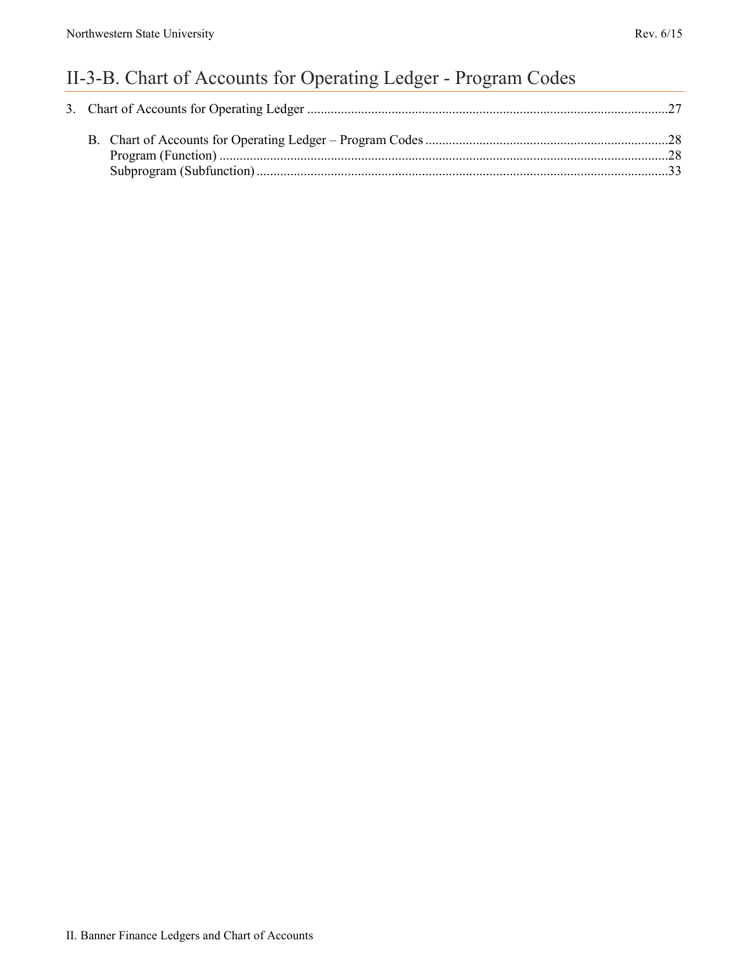# II-3-B. Chart of Accounts for Operating Ledger - Program Codes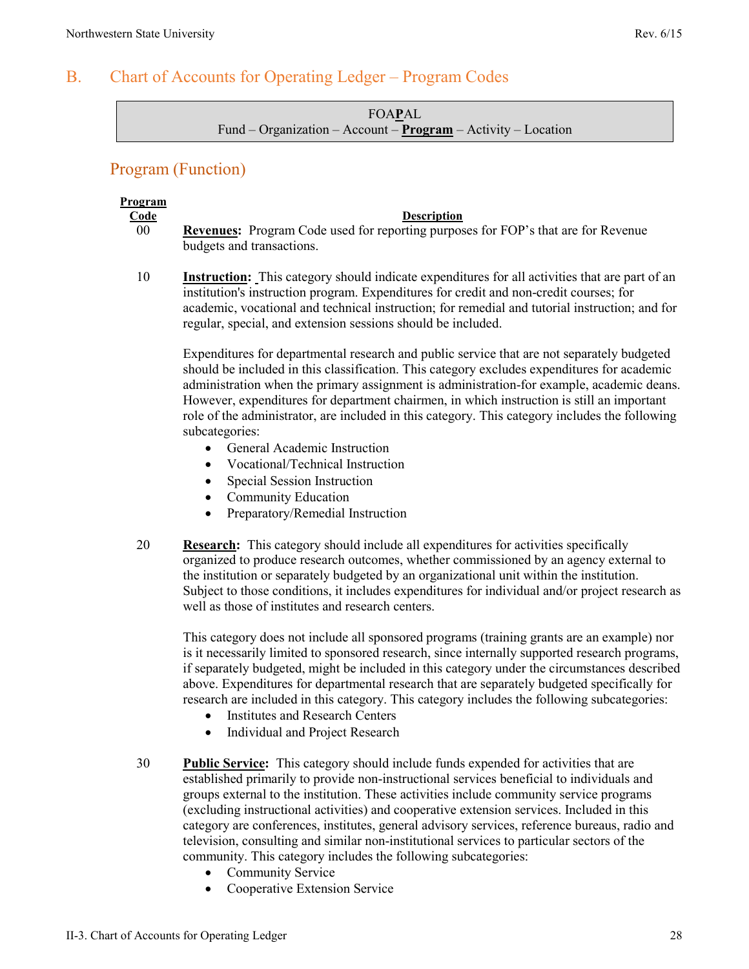# <span id="page-1-0"></span>B. Chart of Accounts for Operating Ledger – Program Codes

FOA**P**AL Fund – Organization – Account – **Program** – Activity – Location

## <span id="page-1-1"></span>Program (Function)

# **Program**

#### **Code Description**

- 00 **Revenues:** Program Code used for reporting purposes for FOP's that are for Revenue budgets and transactions.
- 10 **Instruction:** This category should indicate expenditures for all activities that are part of an institution's instruction program. Expenditures for credit and non-credit courses; for academic, vocational and technical instruction; for remedial and tutorial instruction; and for regular, special, and extension sessions should be included.

Expenditures for departmental research and public service that are not separately budgeted should be included in this classification. This category excludes expenditures for academic administration when the primary assignment is administration-for example, academic deans. However, expenditures for department chairmen, in which instruction is still an important role of the administrator, are included in this category. This category includes the following subcategories:

- General Academic Instruction
- Vocational/Technical Instruction
- Special Session Instruction
- Community Education
- Preparatory/Remedial Instruction
- 20 **Research:** This category should include all expenditures for activities specifically organized to produce research outcomes, whether commissioned by an agency external to the institution or separately budgeted by an organizational unit within the institution. Subject to those conditions, it includes expenditures for individual and/or project research as well as those of institutes and research centers.

This category does not include all sponsored programs (training grants are an example) nor is it necessarily limited to sponsored research, since internally supported research programs, if separately budgeted, might be included in this category under the circumstances described above. Expenditures for departmental research that are separately budgeted specifically for research are included in this category. This category includes the following subcategories:

- Institutes and Research Centers
- Individual and Project Research
- 30 **Public Service:** This category should include funds expended for activities that are established primarily to provide non-instructional services beneficial to individuals and groups external to the institution. These activities include community service programs (excluding instructional activities) and cooperative extension services. Included in this category are conferences, institutes, general advisory services, reference bureaus, radio and television, consulting and similar non-institutional services to particular sectors of the community. This category includes the following subcategories:
	- Community Service
	- Cooperative Extension Service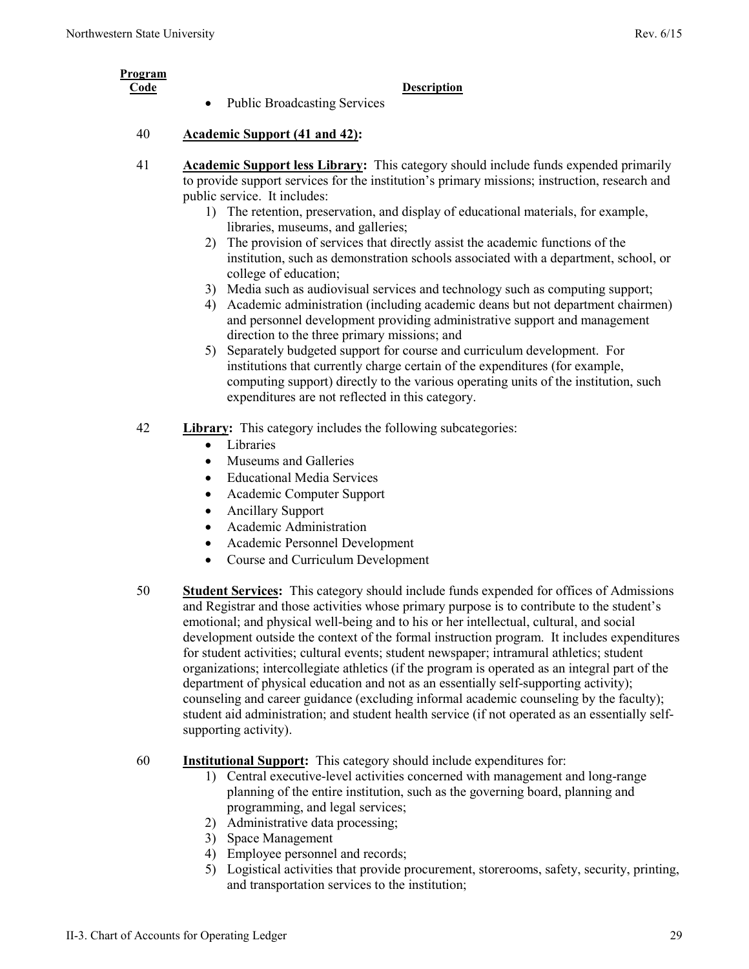| Program<br>Code |                                     | <b>Description</b> |
|-----------------|-------------------------------------|--------------------|
|                 | <b>Public Broadcasting Services</b> |                    |

- 41 **Academic Support less Library:** This category should include funds expended primarily to provide support services for the institution's primary missions; instruction, research and public service. It includes:
	- 1) The retention, preservation, and display of educational materials, for example, libraries, museums, and galleries;
	- 2) The provision of services that directly assist the academic functions of the institution, such as demonstration schools associated with a department, school, or college of education;
	- 3) Media such as audiovisual services and technology such as computing support;
	- 4) Academic administration (including academic deans but not department chairmen) and personnel development providing administrative support and management direction to the three primary missions; and
	- 5) Separately budgeted support for course and curriculum development. For institutions that currently charge certain of the expenditures (for example, computing support) directly to the various operating units of the institution, such expenditures are not reflected in this category.
- 42 **Library:** This category includes the following subcategories:
	- Libraries
	- Museums and Galleries
	- Educational Media Services
	- Academic Computer Support
	- Ancillary Support
	- Academic Administration
	- Academic Personnel Development
	- Course and Curriculum Development
- 50 **Student Services:** This category should include funds expended for offices of Admissions and Registrar and those activities whose primary purpose is to contribute to the student's emotional; and physical well-being and to his or her intellectual, cultural, and social development outside the context of the formal instruction program. It includes expenditures for student activities; cultural events; student newspaper; intramural athletics; student organizations; intercollegiate athletics (if the program is operated as an integral part of the department of physical education and not as an essentially self-supporting activity); counseling and career guidance (excluding informal academic counseling by the faculty); student aid administration; and student health service (if not operated as an essentially selfsupporting activity).
- 60 **Institutional Support:** This category should include expenditures for:
	- 1) Central executive-level activities concerned with management and long-range planning of the entire institution, such as the governing board, planning and programming, and legal services;
	- 2) Administrative data processing;
	- 3) Space Management
	- 4) Employee personnel and records;
	- 5) Logistical activities that provide procurement, storerooms, safety, security, printing, and transportation services to the institution;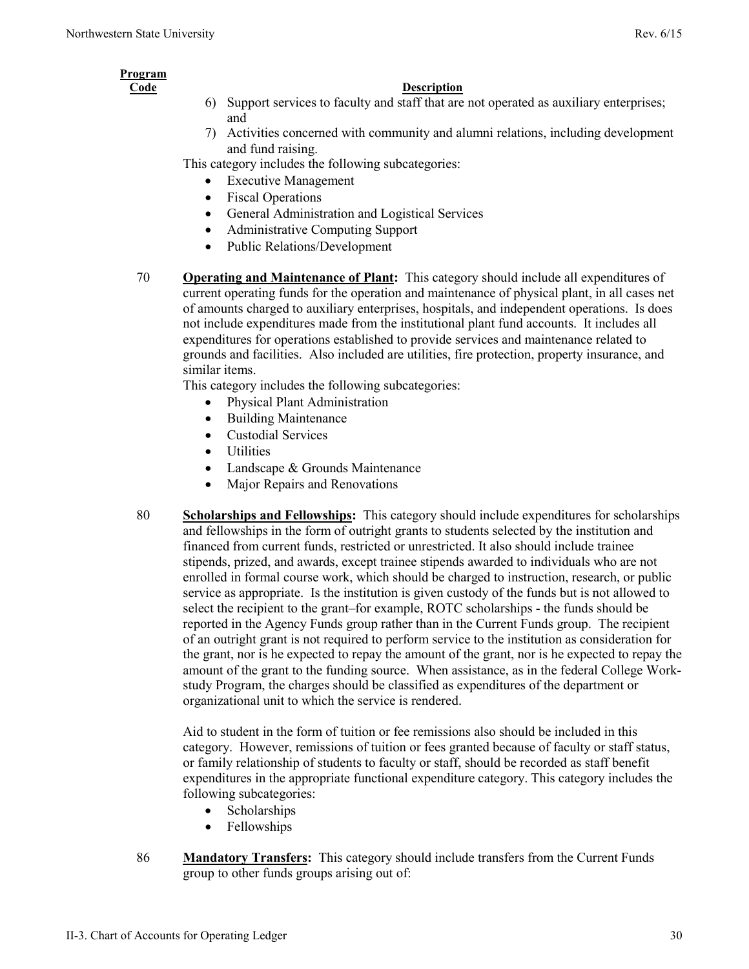## **Program**

#### **Code Description**

- 6) Support services to faculty and staff that are not operated as auxiliary enterprises; and
- 7) Activities concerned with community and alumni relations, including development and fund raising.

This category includes the following subcategories:

- **Executive Management**
- Fiscal Operations
- General Administration and Logistical Services
- Administrative Computing Support
- Public Relations/Development
- 70 **Operating and Maintenance of Plant:** This category should include all expenditures of current operating funds for the operation and maintenance of physical plant, in all cases net of amounts charged to auxiliary enterprises, hospitals, and independent operations. Is does not include expenditures made from the institutional plant fund accounts. It includes all expenditures for operations established to provide services and maintenance related to grounds and facilities. Also included are utilities, fire protection, property insurance, and similar items.

This category includes the following subcategories:

- Physical Plant Administration
- Building Maintenance
- Custodial Services
- **Utilities**
- Landscape & Grounds Maintenance
- Major Repairs and Renovations
- 80 **Scholarships and Fellowships:** This category should include expenditures for scholarships and fellowships in the form of outright grants to students selected by the institution and financed from current funds, restricted or unrestricted. It also should include trainee stipends, prized, and awards, except trainee stipends awarded to individuals who are not enrolled in formal course work, which should be charged to instruction, research, or public service as appropriate. Is the institution is given custody of the funds but is not allowed to select the recipient to the grant–for example, ROTC scholarships - the funds should be reported in the Agency Funds group rather than in the Current Funds group. The recipient of an outright grant is not required to perform service to the institution as consideration for the grant, nor is he expected to repay the amount of the grant, nor is he expected to repay the amount of the grant to the funding source. When assistance, as in the federal College Workstudy Program, the charges should be classified as expenditures of the department or organizational unit to which the service is rendered.

Aid to student in the form of tuition or fee remissions also should be included in this category. However, remissions of tuition or fees granted because of faculty or staff status, or family relationship of students to faculty or staff, should be recorded as staff benefit expenditures in the appropriate functional expenditure category. This category includes the following subcategories:

- Scholarships
- Fellowships
- 86 **Mandatory Transfers:** This category should include transfers from the Current Funds group to other funds groups arising out of: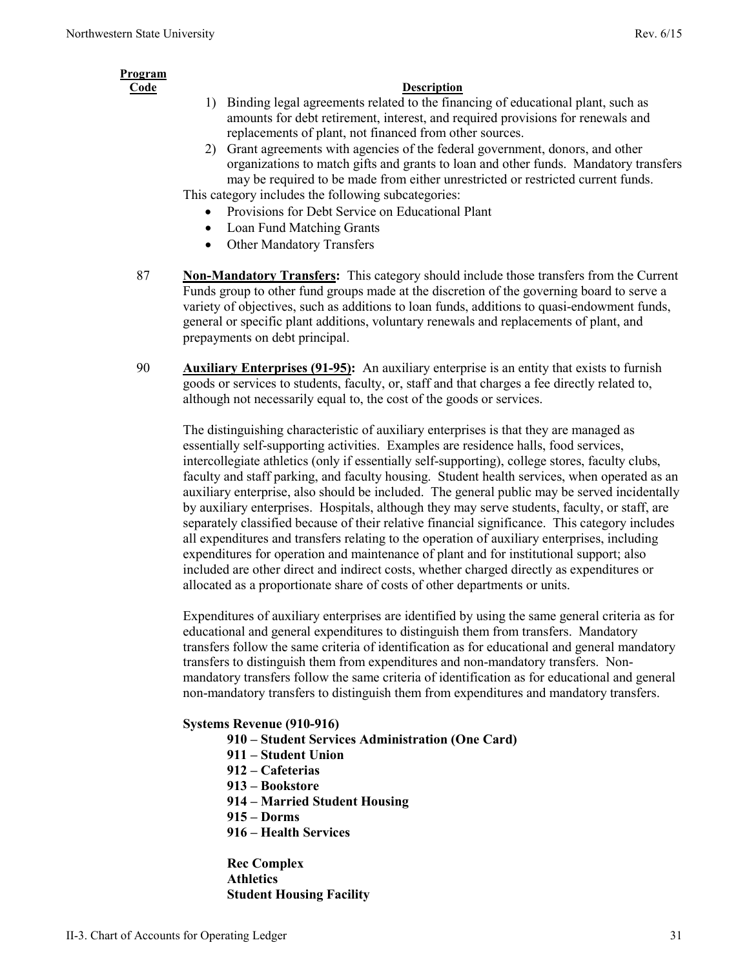# **Program**

#### **Code Description**

- 1) Binding legal agreements related to the financing of educational plant, such as amounts for debt retirement, interest, and required provisions for renewals and replacements of plant, not financed from other sources.
- 2) Grant agreements with agencies of the federal government, donors, and other organizations to match gifts and grants to loan and other funds. Mandatory transfers may be required to be made from either unrestricted or restricted current funds.

This category includes the following subcategories:

- Provisions for Debt Service on Educational Plant
- Loan Fund Matching Grants
- Other Mandatory Transfers
- 87 **Non-Mandatory Transfers:** This category should include those transfers from the Current Funds group to other fund groups made at the discretion of the governing board to serve a variety of objectives, such as additions to loan funds, additions to quasi-endowment funds, general or specific plant additions, voluntary renewals and replacements of plant, and prepayments on debt principal.
- 90 **Auxiliary Enterprises (91-95):** An auxiliary enterprise is an entity that exists to furnish goods or services to students, faculty, or, staff and that charges a fee directly related to, although not necessarily equal to, the cost of the goods or services.

The distinguishing characteristic of auxiliary enterprises is that they are managed as essentially self-supporting activities. Examples are residence halls, food services, intercollegiate athletics (only if essentially self-supporting), college stores, faculty clubs, faculty and staff parking, and faculty housing. Student health services, when operated as an auxiliary enterprise, also should be included. The general public may be served incidentally by auxiliary enterprises. Hospitals, although they may serve students, faculty, or staff, are separately classified because of their relative financial significance. This category includes all expenditures and transfers relating to the operation of auxiliary enterprises, including expenditures for operation and maintenance of plant and for institutional support; also included are other direct and indirect costs, whether charged directly as expenditures or allocated as a proportionate share of costs of other departments or units.

Expenditures of auxiliary enterprises are identified by using the same general criteria as for educational and general expenditures to distinguish them from transfers. Mandatory transfers follow the same criteria of identification as for educational and general mandatory transfers to distinguish them from expenditures and non-mandatory transfers. Nonmandatory transfers follow the same criteria of identification as for educational and general non-mandatory transfers to distinguish them from expenditures and mandatory transfers.

#### **Systems Revenue (910-916)**

- **910 Student Services Administration (One Card)**
- **911 Student Union**
- **912 Cafeterias**
- **913 Bookstore**
- **914 Married Student Housing**
- **915 Dorms**
- **916 Health Services**

#### **Rec Complex Athletics Student Housing Facility**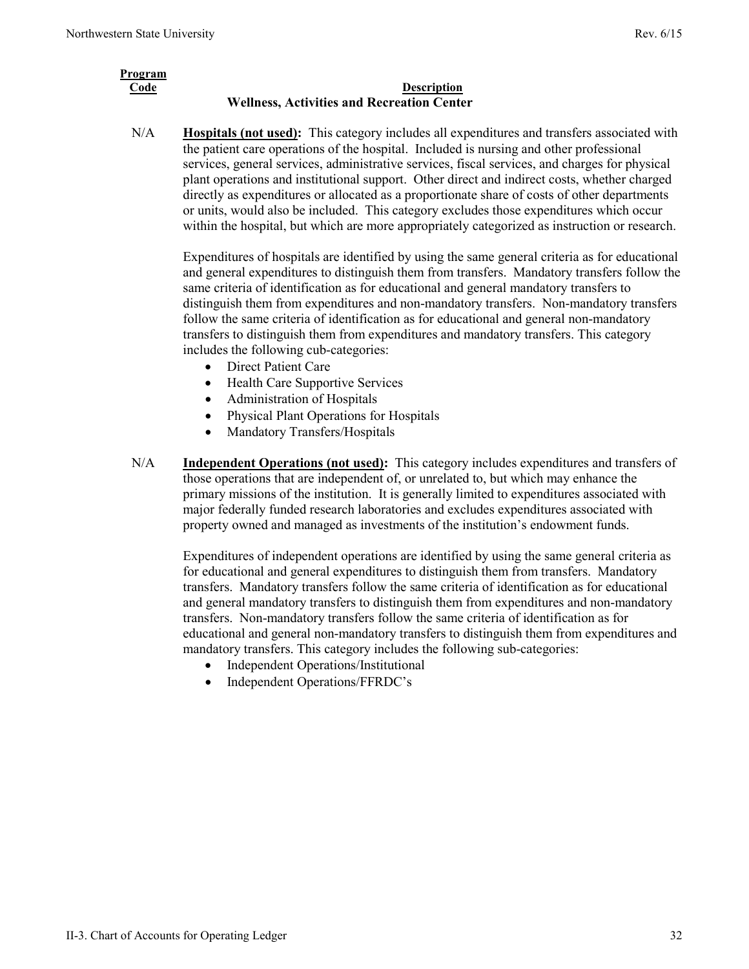| Program |                                                   |
|---------|---------------------------------------------------|
| Code    | <b>Description</b>                                |
|         | <b>Wellness, Activities and Recreation Center</b> |

N/A **Hospitals (not used):** This category includes all expenditures and transfers associated with the patient care operations of the hospital. Included is nursing and other professional services, general services, administrative services, fiscal services, and charges for physical plant operations and institutional support. Other direct and indirect costs, whether charged directly as expenditures or allocated as a proportionate share of costs of other departments or units, would also be included. This category excludes those expenditures which occur within the hospital, but which are more appropriately categorized as instruction or research.

Expenditures of hospitals are identified by using the same general criteria as for educational and general expenditures to distinguish them from transfers. Mandatory transfers follow the same criteria of identification as for educational and general mandatory transfers to distinguish them from expenditures and non-mandatory transfers. Non-mandatory transfers follow the same criteria of identification as for educational and general non-mandatory transfers to distinguish them from expenditures and mandatory transfers. This category includes the following cub-categories:

- Direct Patient Care
- Health Care Supportive Services
- Administration of Hospitals
- Physical Plant Operations for Hospitals
- Mandatory Transfers/Hospitals
- N/A **Independent Operations (not used):** This category includes expenditures and transfers of those operations that are independent of, or unrelated to, but which may enhance the primary missions of the institution. It is generally limited to expenditures associated with major federally funded research laboratories and excludes expenditures associated with property owned and managed as investments of the institution's endowment funds.

Expenditures of independent operations are identified by using the same general criteria as for educational and general expenditures to distinguish them from transfers. Mandatory transfers. Mandatory transfers follow the same criteria of identification as for educational and general mandatory transfers to distinguish them from expenditures and non-mandatory transfers. Non-mandatory transfers follow the same criteria of identification as for educational and general non-mandatory transfers to distinguish them from expenditures and mandatory transfers. This category includes the following sub-categories:

- Independent Operations/Institutional
- Independent Operations/FFRDC's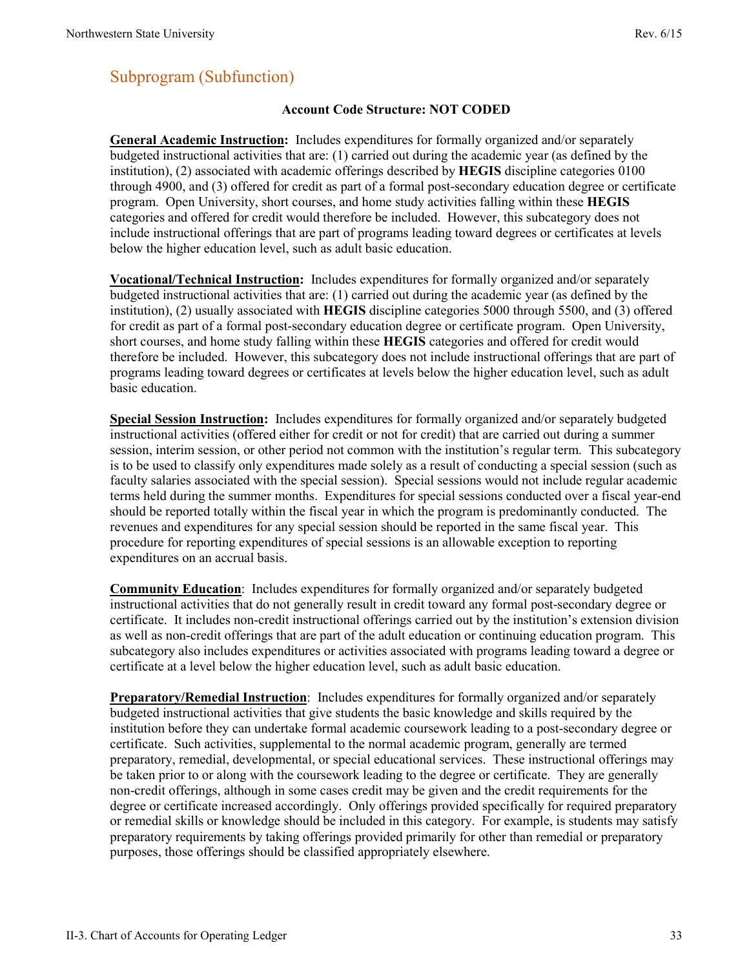# <span id="page-6-0"></span>Subprogram (Subfunction)

#### **Account Code Structure: NOT CODED**

**General Academic Instruction:** Includes expenditures for formally organized and/or separately budgeted instructional activities that are: (1) carried out during the academic year (as defined by the institution), (2) associated with academic offerings described by **HEGIS** discipline categories 0100 through 4900, and (3) offered for credit as part of a formal post-secondary education degree or certificate program. Open University, short courses, and home study activities falling within these **HEGIS** categories and offered for credit would therefore be included. However, this subcategory does not include instructional offerings that are part of programs leading toward degrees or certificates at levels below the higher education level, such as adult basic education.

**Vocational/Technical Instruction:** Includes expenditures for formally organized and/or separately budgeted instructional activities that are: (1) carried out during the academic year (as defined by the institution), (2) usually associated with **HEGIS** discipline categories 5000 through 5500, and (3) offered for credit as part of a formal post-secondary education degree or certificate program. Open University, short courses, and home study falling within these **HEGIS** categories and offered for credit would therefore be included. However, this subcategory does not include instructional offerings that are part of programs leading toward degrees or certificates at levels below the higher education level, such as adult basic education.

**Special Session Instruction:** Includes expenditures for formally organized and/or separately budgeted instructional activities (offered either for credit or not for credit) that are carried out during a summer session, interim session, or other period not common with the institution's regular term. This subcategory is to be used to classify only expenditures made solely as a result of conducting a special session (such as faculty salaries associated with the special session). Special sessions would not include regular academic terms held during the summer months. Expenditures for special sessions conducted over a fiscal year-end should be reported totally within the fiscal year in which the program is predominantly conducted. The revenues and expenditures for any special session should be reported in the same fiscal year. This procedure for reporting expenditures of special sessions is an allowable exception to reporting expenditures on an accrual basis.

**Community Education**: Includes expenditures for formally organized and/or separately budgeted instructional activities that do not generally result in credit toward any formal post-secondary degree or certificate. It includes non-credit instructional offerings carried out by the institution's extension division as well as non-credit offerings that are part of the adult education or continuing education program. This subcategory also includes expenditures or activities associated with programs leading toward a degree or certificate at a level below the higher education level, such as adult basic education.

**Preparatory/Remedial Instruction**: Includes expenditures for formally organized and/or separately budgeted instructional activities that give students the basic knowledge and skills required by the institution before they can undertake formal academic coursework leading to a post-secondary degree or certificate. Such activities, supplemental to the normal academic program, generally are termed preparatory, remedial, developmental, or special educational services. These instructional offerings may be taken prior to or along with the coursework leading to the degree or certificate. They are generally non-credit offerings, although in some cases credit may be given and the credit requirements for the degree or certificate increased accordingly. Only offerings provided specifically for required preparatory or remedial skills or knowledge should be included in this category. For example, is students may satisfy preparatory requirements by taking offerings provided primarily for other than remedial or preparatory purposes, those offerings should be classified appropriately elsewhere.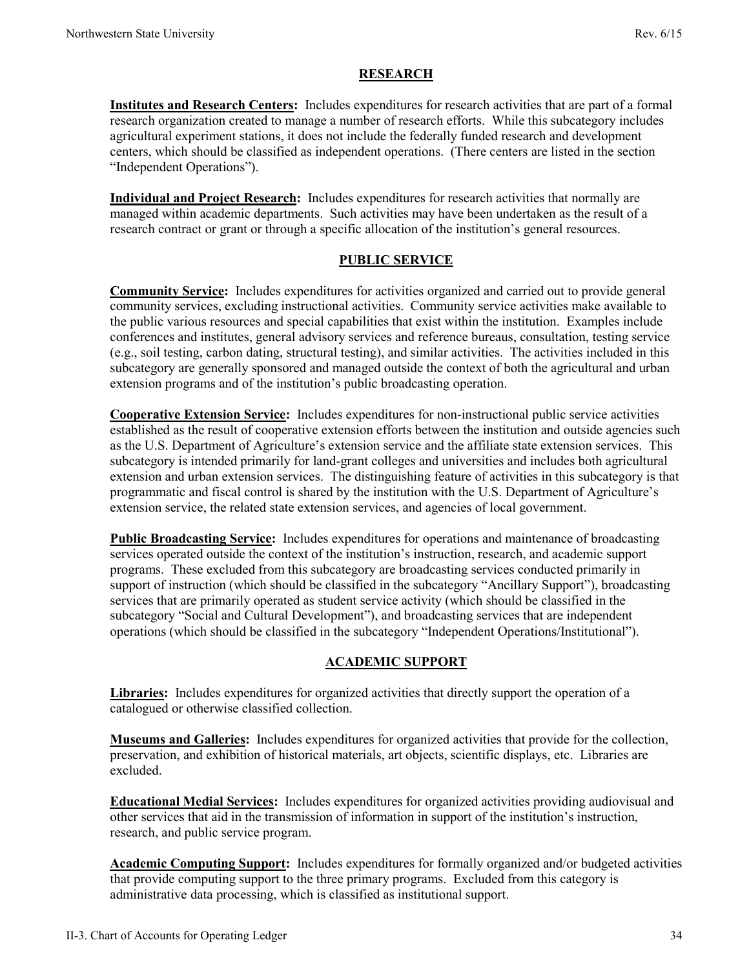#### **RESEARCH**

**Institutes and Research Centers:** Includes expenditures for research activities that are part of a formal research organization created to manage a number of research efforts. While this subcategory includes agricultural experiment stations, it does not include the federally funded research and development centers, which should be classified as independent operations. (There centers are listed in the section "Independent Operations").

**Individual and Project Research:** Includes expenditures for research activities that normally are managed within academic departments. Such activities may have been undertaken as the result of a research contract or grant or through a specific allocation of the institution's general resources.

#### **PUBLIC SERVICE**

**Community Service:** Includes expenditures for activities organized and carried out to provide general community services, excluding instructional activities. Community service activities make available to the public various resources and special capabilities that exist within the institution. Examples include conferences and institutes, general advisory services and reference bureaus, consultation, testing service (e.g., soil testing, carbon dating, structural testing), and similar activities. The activities included in this subcategory are generally sponsored and managed outside the context of both the agricultural and urban extension programs and of the institution's public broadcasting operation.

**Cooperative Extension Service:** Includes expenditures for non-instructional public service activities established as the result of cooperative extension efforts between the institution and outside agencies such as the U.S. Department of Agriculture's extension service and the affiliate state extension services. This subcategory is intended primarily for land-grant colleges and universities and includes both agricultural extension and urban extension services. The distinguishing feature of activities in this subcategory is that programmatic and fiscal control is shared by the institution with the U.S. Department of Agriculture's extension service, the related state extension services, and agencies of local government.

**Public Broadcasting Service:** Includes expenditures for operations and maintenance of broadcasting services operated outside the context of the institution's instruction, research, and academic support programs. These excluded from this subcategory are broadcasting services conducted primarily in support of instruction (which should be classified in the subcategory "Ancillary Support"), broadcasting services that are primarily operated as student service activity (which should be classified in the subcategory "Social and Cultural Development"), and broadcasting services that are independent operations (which should be classified in the subcategory "Independent Operations/Institutional").

#### **ACADEMIC SUPPORT**

**Libraries:** Includes expenditures for organized activities that directly support the operation of a catalogued or otherwise classified collection.

**Museums and Galleries:** Includes expenditures for organized activities that provide for the collection, preservation, and exhibition of historical materials, art objects, scientific displays, etc. Libraries are excluded.

**Educational Medial Services:** Includes expenditures for organized activities providing audiovisual and other services that aid in the transmission of information in support of the institution's instruction, research, and public service program.

**Academic Computing Support:** Includes expenditures for formally organized and/or budgeted activities that provide computing support to the three primary programs. Excluded from this category is administrative data processing, which is classified as institutional support.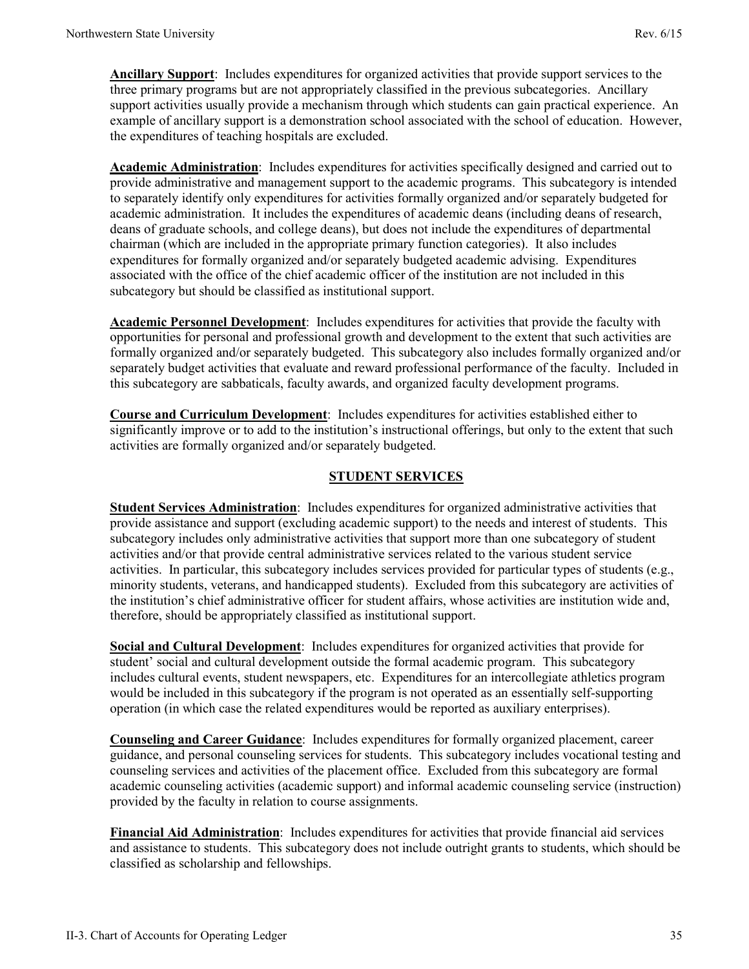**Ancillary Support**: Includes expenditures for organized activities that provide support services to the three primary programs but are not appropriately classified in the previous subcategories. Ancillary support activities usually provide a mechanism through which students can gain practical experience. An example of ancillary support is a demonstration school associated with the school of education. However, the expenditures of teaching hospitals are excluded.

**Academic Administration**: Includes expenditures for activities specifically designed and carried out to provide administrative and management support to the academic programs. This subcategory is intended to separately identify only expenditures for activities formally organized and/or separately budgeted for academic administration. It includes the expenditures of academic deans (including deans of research, deans of graduate schools, and college deans), but does not include the expenditures of departmental chairman (which are included in the appropriate primary function categories). It also includes expenditures for formally organized and/or separately budgeted academic advising. Expenditures associated with the office of the chief academic officer of the institution are not included in this subcategory but should be classified as institutional support.

**Academic Personnel Development**: Includes expenditures for activities that provide the faculty with opportunities for personal and professional growth and development to the extent that such activities are formally organized and/or separately budgeted. This subcategory also includes formally organized and/or separately budget activities that evaluate and reward professional performance of the faculty. Included in this subcategory are sabbaticals, faculty awards, and organized faculty development programs.

**Course and Curriculum Development**: Includes expenditures for activities established either to significantly improve or to add to the institution's instructional offerings, but only to the extent that such activities are formally organized and/or separately budgeted.

#### **STUDENT SERVICES**

**Student Services Administration**: Includes expenditures for organized administrative activities that provide assistance and support (excluding academic support) to the needs and interest of students. This subcategory includes only administrative activities that support more than one subcategory of student activities and/or that provide central administrative services related to the various student service activities. In particular, this subcategory includes services provided for particular types of students (e.g., minority students, veterans, and handicapped students). Excluded from this subcategory are activities of the institution's chief administrative officer for student affairs, whose activities are institution wide and, therefore, should be appropriately classified as institutional support.

**Social and Cultural Development**: Includes expenditures for organized activities that provide for student' social and cultural development outside the formal academic program. This subcategory includes cultural events, student newspapers, etc. Expenditures for an intercollegiate athletics program would be included in this subcategory if the program is not operated as an essentially self-supporting operation (in which case the related expenditures would be reported as auxiliary enterprises).

**Counseling and Career Guidance**: Includes expenditures for formally organized placement, career guidance, and personal counseling services for students. This subcategory includes vocational testing and counseling services and activities of the placement office. Excluded from this subcategory are formal academic counseling activities (academic support) and informal academic counseling service (instruction) provided by the faculty in relation to course assignments.

**Financial Aid Administration**: Includes expenditures for activities that provide financial aid services and assistance to students. This subcategory does not include outright grants to students, which should be classified as scholarship and fellowships.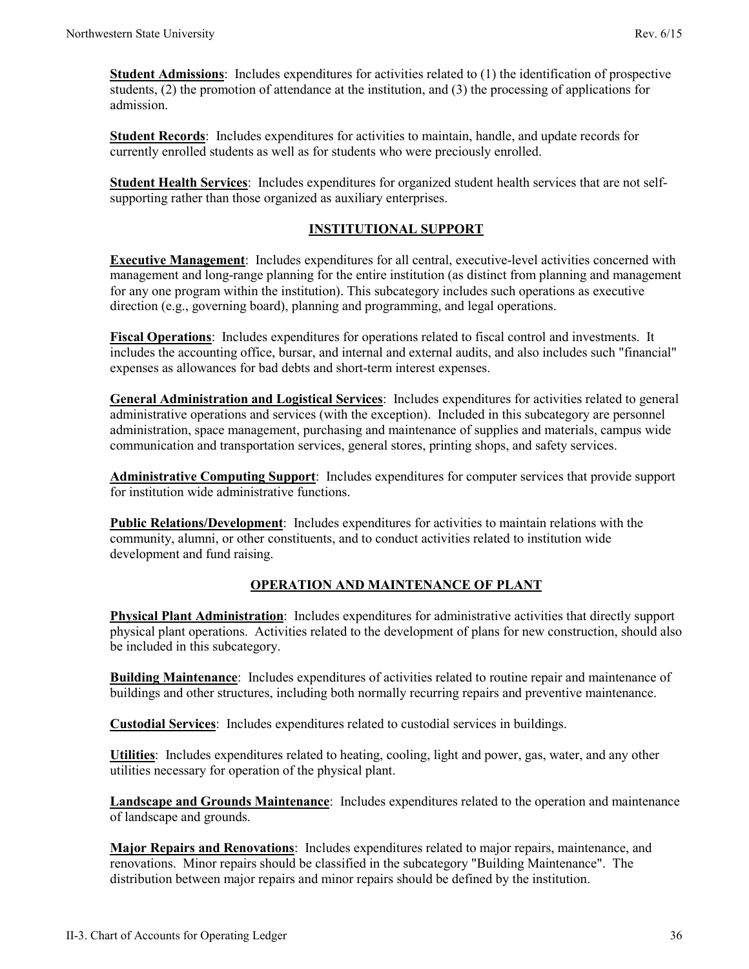**Student Admissions**: Includes expenditures for activities related to (1) the identification of prospective students, (2) the promotion of attendance at the institution, and (3) the processing of applications for admission.

**Student Records**: Includes expenditures for activities to maintain, handle, and update records for currently enrolled students as well as for students who were preciously enrolled.

**Student Health Services**: Includes expenditures for organized student health services that are not selfsupporting rather than those organized as auxiliary enterprises.

#### **INSTITUTIONAL SUPPORT**

**Executive Management**: Includes expenditures for all central, executive-level activities concerned with management and long-range planning for the entire institution (as distinct from planning and management for any one program within the institution). This subcategory includes such operations as executive direction (e.g., governing board), planning and programming, and legal operations.

**Fiscal Operations**: Includes expenditures for operations related to fiscal control and investments. It includes the accounting office, bursar, and internal and external audits, and also includes such "financial" expenses as allowances for bad debts and short-term interest expenses.

**General Administration and Logistical Services**: Includes expenditures for activities related to general administrative operations and services (with the exception). Included in this subcategory are personnel administration, space management, purchasing and maintenance of supplies and materials, campus wide communication and transportation services, general stores, printing shops, and safety services.

**Administrative Computing Support**: Includes expenditures for computer services that provide support for institution wide administrative functions.

**Public Relations/Development**: Includes expenditures for activities to maintain relations with the community, alumni, or other constituents, and to conduct activities related to institution wide development and fund raising.

#### **OPERATION AND MAINTENANCE OF PLANT**

**Physical Plant Administration**: Includes expenditures for administrative activities that directly support physical plant operations. Activities related to the development of plans for new construction, should also be included in this subcategory.

**Building Maintenance**: Includes expenditures of activities related to routine repair and maintenance of buildings and other structures, including both normally recurring repairs and preventive maintenance.

**Custodial Services**: Includes expenditures related to custodial services in buildings.

**Utilities**: Includes expenditures related to heating, cooling, light and power, gas, water, and any other utilities necessary for operation of the physical plant.

**Landscape and Grounds Maintenance**: Includes expenditures related to the operation and maintenance of landscape and grounds.

**Major Repairs and Renovations**: Includes expenditures related to major repairs, maintenance, and renovations. Minor repairs should be classified in the subcategory "Building Maintenance". The distribution between major repairs and minor repairs should be defined by the institution.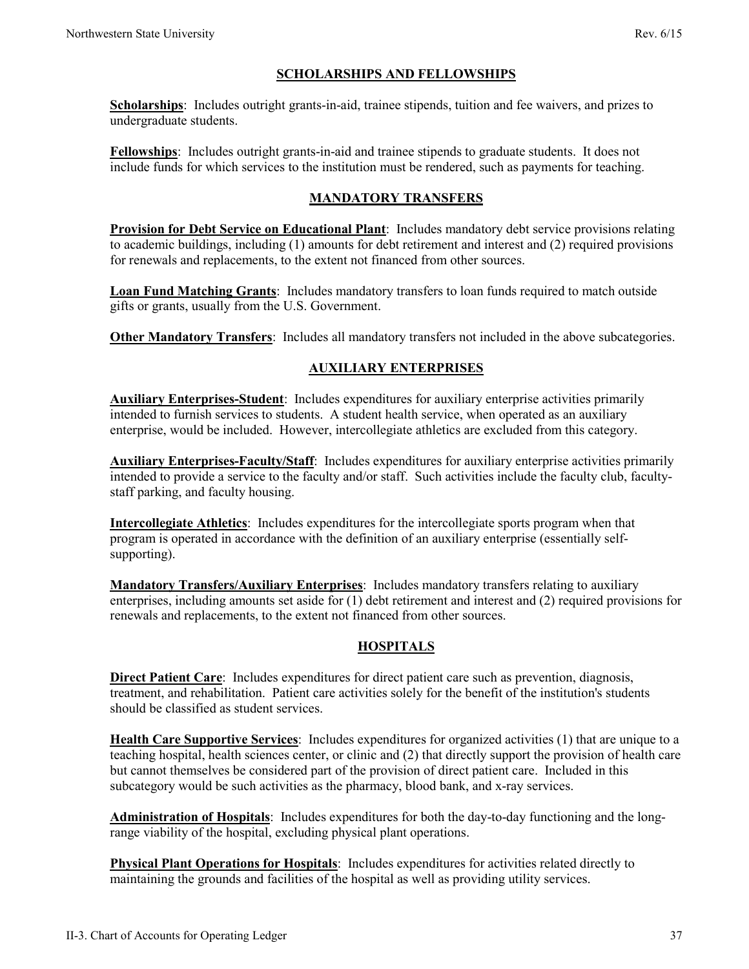### **SCHOLARSHIPS AND FELLOWSHIPS**

**Scholarships**: Includes outright grants-in-aid, trainee stipends, tuition and fee waivers, and prizes to undergraduate students.

**Fellowships**: Includes outright grants-in-aid and trainee stipends to graduate students. It does not include funds for which services to the institution must be rendered, such as payments for teaching.

#### **MANDATORY TRANSFERS**

**Provision for Debt Service on Educational Plant**: Includes mandatory debt service provisions relating to academic buildings, including (1) amounts for debt retirement and interest and (2) required provisions for renewals and replacements, to the extent not financed from other sources.

**Loan Fund Matching Grants**: Includes mandatory transfers to loan funds required to match outside gifts or grants, usually from the U.S. Government.

**Other Mandatory Transfers**: Includes all mandatory transfers not included in the above subcategories.

### **AUXILIARY ENTERPRISES**

**Auxiliary Enterprises-Student**: Includes expenditures for auxiliary enterprise activities primarily intended to furnish services to students. A student health service, when operated as an auxiliary enterprise, would be included. However, intercollegiate athletics are excluded from this category.

**Auxiliary Enterprises-Faculty/Staff**: Includes expenditures for auxiliary enterprise activities primarily intended to provide a service to the faculty and/or staff. Such activities include the faculty club, facultystaff parking, and faculty housing.

**Intercollegiate Athletics**: Includes expenditures for the intercollegiate sports program when that program is operated in accordance with the definition of an auxiliary enterprise (essentially selfsupporting).

**Mandatory Transfers/Auxiliary Enterprises**: Includes mandatory transfers relating to auxiliary enterprises, including amounts set aside for (1) debt retirement and interest and (2) required provisions for renewals and replacements, to the extent not financed from other sources.

#### **HOSPITALS**

**Direct Patient Care**: Includes expenditures for direct patient care such as prevention, diagnosis, treatment, and rehabilitation. Patient care activities solely for the benefit of the institution's students should be classified as student services.

**Health Care Supportive Services**: Includes expenditures for organized activities (1) that are unique to a teaching hospital, health sciences center, or clinic and (2) that directly support the provision of health care but cannot themselves be considered part of the provision of direct patient care. Included in this subcategory would be such activities as the pharmacy, blood bank, and x-ray services.

**Administration of Hospitals**: Includes expenditures for both the day-to-day functioning and the longrange viability of the hospital, excluding physical plant operations.

**Physical Plant Operations for Hospitals**: Includes expenditures for activities related directly to maintaining the grounds and facilities of the hospital as well as providing utility services.